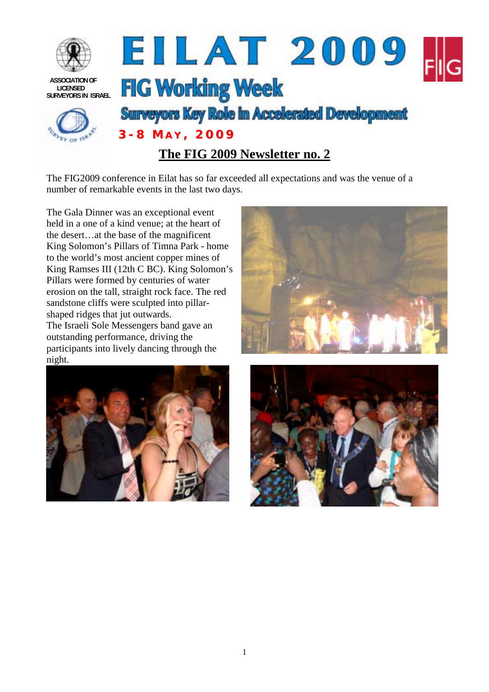

The FIG2009 conference in Eilat has so far exceeded all expectations and was the venue of a number of remarkable events in the last two days.

The Gala Dinner was an exceptional event held in a one of a kind venue; at the heart of the desert…at the base of the magnificent King Solomon's Pillars of Timna Park - home to the world's most ancient copper mines of King Ramses III (12th C BC). King Solomon's Pillars were formed by centuries of water erosion on the tall, straight rock face. The red sandstone cliffs were sculpted into pillarshaped ridges that jut outwards. The Israeli Sole Messengers band gave an outstanding performance, driving the participants into lively dancing through the





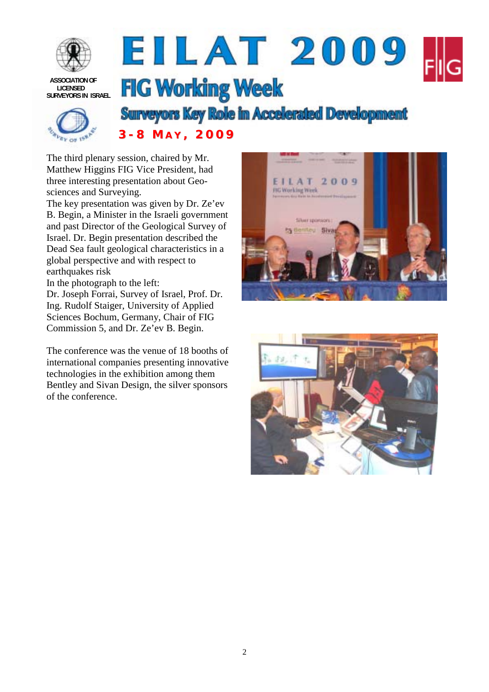

 **ASSOCIATION OF LICENSED SURVEYORS IN ISRAEL**

## EILAT 2009 **FIG Working Week**



**Surveyors Key Role in Accelerated Development**<br>3 - 8 M A Y , 2009

The third plenary session, chaired by Mr. Matthew Higgins FIG Vice President, had three interesting presentation about Geosciences and Surveying.

The key presentation was given by Dr. Ze'ev B. Begin, a Minister in the Israeli government and past Director of the Geological Survey of Israel. Dr. Begin presentation described the Dead Sea fault geological characteristics in a global perspective and with respect to earthquakes risk

In the photograph to the left:

Dr. Joseph Forrai, Survey of Israel, Prof. Dr. Ing. Rudolf Staiger, University of Applied Sciences Bochum, Germany, Chair of FIG Commission 5, and Dr. Ze'ev B. Begin.

The conference was the venue of 18 booths of international companies presenting innovative technologies in the exhibition among them Bentley and Sivan Design, the silver sponsors of the conference.